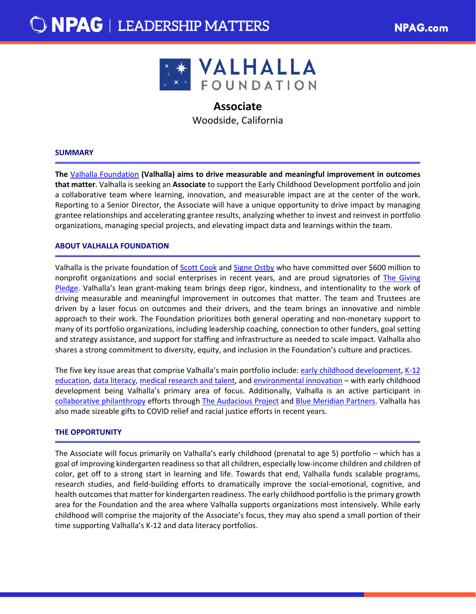

# **Associate**

Woodside, California

### **SUMMARY**

**The** [Valhalla Foundation](https://valhalla.org/collaborative-philanthropy/) **(Valhalla) aims to drive measurable and meaningful improvement in outcomes that matter**. Valhalla is seeking an **Associate** to support the Early Childhood Development portfolio and join a collaborative team where learning, innovation, and measurable impact are at the center of the work. Reporting to a Senior Director, the Associate will have a unique opportunity to drive impact by managing grantee relationships and accelerating grantee results, analyzing whether to invest and reinvest in portfolio organizations, managing special projects, and elevating impact data and learnings within the team.

## **ABOUT VALHALLA FOUNDATION**

Valhalla is the private foundation of [Scott Cook](https://valhalla.org/people/scott-cook/) and [Signe Ostby](https://valhalla.org/people/signe-ostby/) who have committed over \$600 million to nonprofit organizations and social enterprises in recent years, and are proud signatories of [The Giving](https://givingpledge.org/)  [Pledge.](https://givingpledge.org/) Valhalla's lean grant-making team brings deep rigor, kindness, and intentionality to the work of driving measurable and meaningful improvement in outcomes that matter. The team and Trustees are driven by a laser focus on outcomes and their drivers, and the team brings an innovative and nimble approach to their work. The Foundation prioritizes both general operating and non-monetary support to many of its portfolio organizations, including leadership coaching, connection to other funders, goal setting and strategy assistance, and support for staffing and infrastructure as needed to scale impact. Valhalla also shares a strong commitment to diversity, equity, and inclusion in the Foundation's culture and practices.

The five key issue areas that comprise Valhalla's main portfolio include: [early childhood development,](https://valhalla.org/early-childhood-development/) K-12 [education,](https://valhalla.org/k12-education/) [data literacy,](https://valhalla.org/data-literacy/) [medical research and talent,](https://valhalla.org/medical-research/) and [environmental innovation](https://valhalla.org/environmental-innovation/) – with early childhood development being Valhalla's primary area of focus. Additionally, Valhalla is an active participant in [collaborative philanthropy](https://valhalla.org/collaborative-philanthropy/) efforts through [The Audacious Project](https://www.audaciousproject.org/) and [Blue Meridian Partners.](https://www.bluemeridian.org/) Valhalla has also made sizeable gifts to COVID relief and racial justice efforts in recent years.

# **THE OPPORTUNITY**

The Associate will focus primarily on Valhalla's early childhood (prenatal to age 5) portfolio – which has a goal of improving kindergarten readiness so that all children, especially low-income children and children of color, get off to a strong start in learning and life. Towards that end, Valhalla funds scalable programs, research studies, and field-building efforts to dramatically improve the social-emotional, cognitive, and health outcomes that matter for kindergarten readiness. The early childhood portfolio is the primary growth area for the Foundation and the area where Valhalla supports organizations most intensively. While early childhood will comprise the majority of the Associate's focus, they may also spend a small portion of their time supporting Valhalla's K-12 and data literacy portfolios.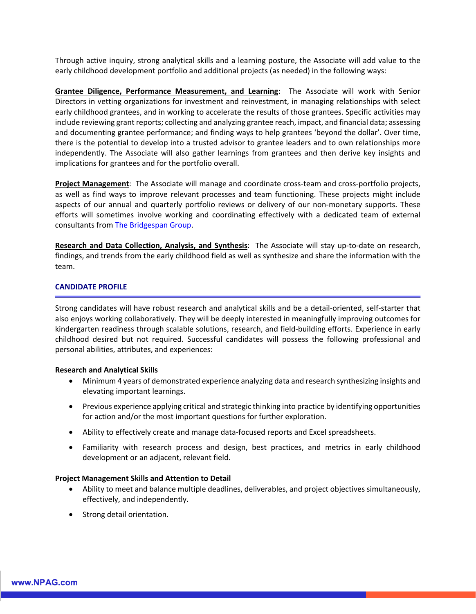Through active inquiry, strong analytical skills and a learning posture, the Associate will add value to the early childhood development portfolio and additional projects (as needed) in the following ways:

**Grantee Diligence, Performance Measurement, and Learning**: The Associate will work with Senior Directors in vetting organizations for investment and reinvestment, in managing relationships with select early childhood grantees, and in working to accelerate the results of those grantees. Specific activities may include reviewing grant reports; collecting and analyzing grantee reach, impact, and financial data; assessing and documenting grantee performance; and finding ways to help grantees 'beyond the dollar'. Over time, there is the potential to develop into a trusted advisor to grantee leaders and to own relationships more independently. The Associate will also gather learnings from grantees and then derive key insights and implications for grantees and for the portfolio overall.

**Project Management**: The Associate will manage and coordinate cross-team and cross-portfolio projects, as well as find ways to improve relevant processes and team functioning. These projects might include aspects of our annual and quarterly portfolio reviews or delivery of our non-monetary supports. These efforts will sometimes involve working and coordinating effectively with a dedicated team of external consultants from [The Bridgespan Group.](https://www.bridgespan.org/)

**Research and Data Collection, Analysis, and Synthesis**: The Associate will stay up-to-date on research, findings, and trends from the early childhood field as well as synthesize and share the information with the team.

# **CANDIDATE PROFILE**

Strong candidates will have robust research and analytical skills and be a detail-oriented, self-starter that also enjoys working collaboratively. They will be deeply interested in meaningfully improving outcomes for kindergarten readiness through scalable solutions, research, and field-building efforts. Experience in early childhood desired but not required. Successful candidates will possess the following professional and personal abilities, attributes, and experiences:

#### **Research and Analytical Skills**

- Minimum 4 years of demonstrated experience analyzing data and research synthesizing insights and elevating important learnings.
- Previous experience applying critical and strategic thinking into practice by identifying opportunities for action and/or the most important questions for further exploration.
- Ability to effectively create and manage data-focused reports and Excel spreadsheets.
- Familiarity with research process and design, best practices, and metrics in early childhood development or an adjacent, relevant field.

#### **Project Management Skills and Attention to Detail**

- Ability to meet and balance multiple deadlines, deliverables, and project objectives simultaneously, effectively, and independently.
- Strong detail orientation.